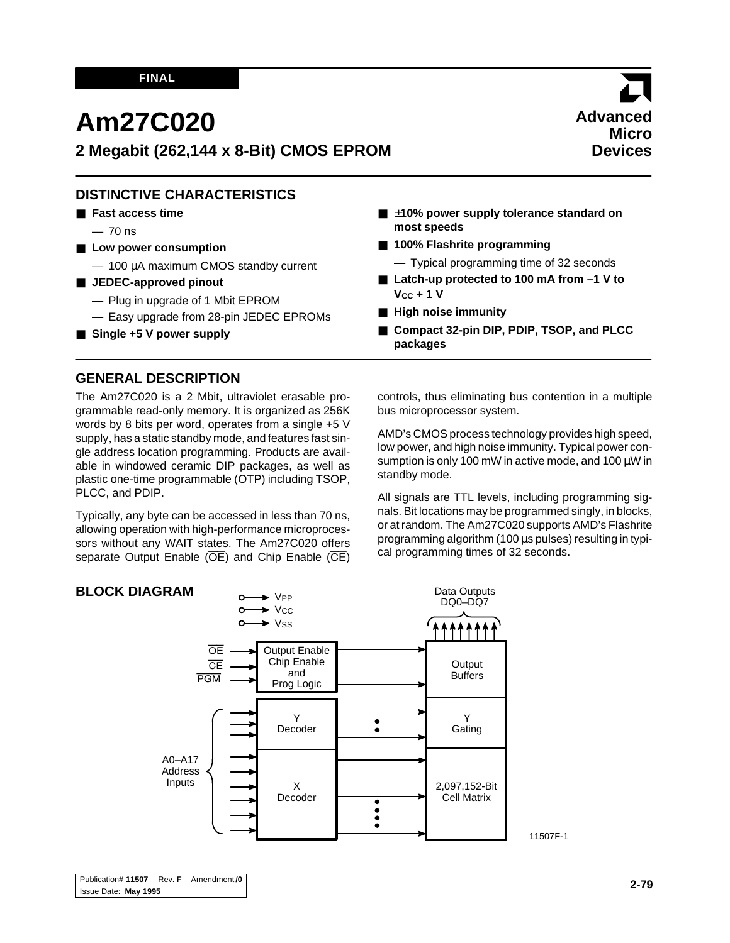### **FINAL**

# **Am27C020**

**2 Megabit (262,144 x 8-Bit) CMOS EPROM**

## **DISTINCTIVE CHARACTERISTICS**

- **Fast access time**
	- $-70$  ns
- Low power consumption
	- 100 µA maximum CMOS standby current
- **JEDEC-approved pinout** 
	- Plug in upgrade of 1 Mbit EPROM
	- Easy upgrade from 28-pin JEDEC EPROMs
- Single +5 V power supply
- ±10% power supply tolerance standard on **most speeds**
- **100% Flashrite programming** 
	- Typical programming time of 32 seconds
- Latch-up protected to 100 mA from  $-1$  V to **VCC + 1 V**
- **High noise immunity**
- **Compact 32-pin DIP, PDIP, TSOP, and PLCC packages**

## **GENERAL DESCRIPTION**

The Am27C020 is a 2 Mbit, ultraviolet erasable programmable read-only memory. It is organized as 256K words by 8 bits per word, operates from a single +5 V supply, has a static standby mode, and features fast single address location programming. Products are available in windowed ceramic DIP packages, as well as plastic one-time programmable (OTP) including TSOP, PLCC, and PDIP.

Typically, any byte can be accessed in less than 70 ns, allowing operation with high-performance microprocessors without any WAIT states. The Am27C020 offers separate Output Enable  $(\overline{OE})$  and Chip Enable  $(\overline{CE})$ 

controls, thus eliminating bus contention in a multiple bus microprocessor system.

AMD's CMOS process technology provides high speed, low power, and high noise immunity. Typical power consumption is only 100 mW in active mode, and 100 µW in standby mode.

All signals are TTL levels, including programming signals. Bit locations may be programmed singly, in blocks, or at random. The Am27C020 supports AMD's Flashrite programming algorithm (100 µs pulses) resulting in typical programming times of 32 seconds.

11507F-1

#### **BLOCK DIAGRAM**



# **Advanced Micro Devices**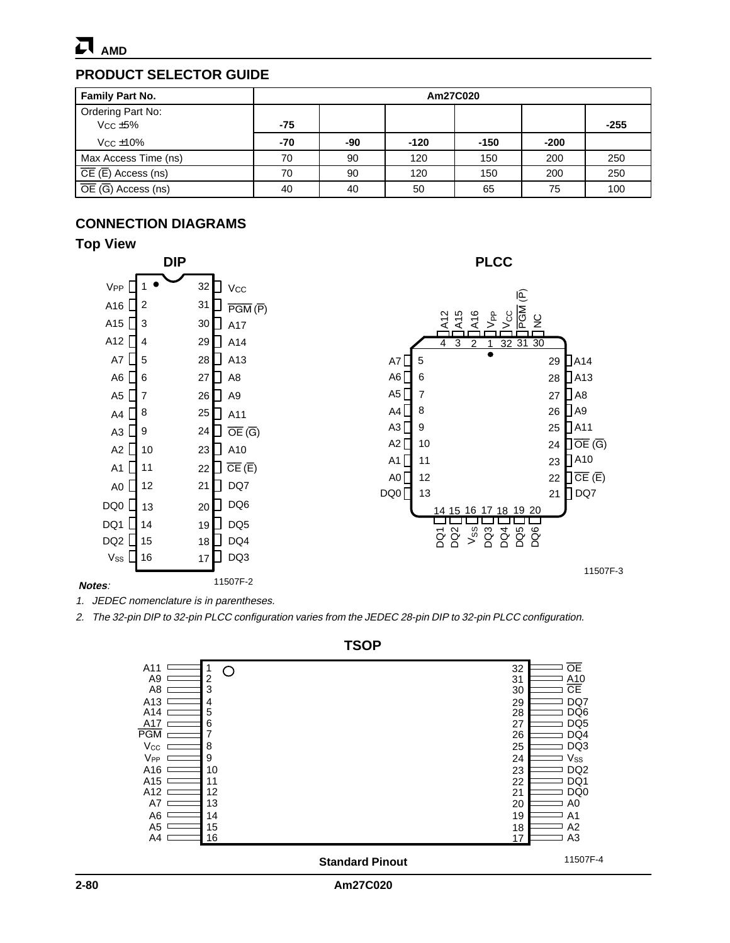

## **PRODUCT SELECTOR GUIDE**

| <b>Family Part No.</b>                         | Am27C020 |     |        |        |        |        |  |  |
|------------------------------------------------|----------|-----|--------|--------|--------|--------|--|--|
| Ordering Part No:<br>$Vcc \pm 5\%$             | $-75$    |     |        |        |        | $-255$ |  |  |
| $V_{CC}$ $\pm$ 10%                             | -70      | -90 | $-120$ | $-150$ | $-200$ |        |  |  |
| Max Access Time (ns)                           | 70       | 90  | 120    | 150    | 200    | 250    |  |  |
| $\overline{CE}$ ( $\overline{E}$ ) Access (ns) | 70       | 90  | 120    | 150    | 200    | 250    |  |  |
| $\overline{OE}$ (G) Access (ns)                | 40       | 40  | 50     | 65     | 75     | 100    |  |  |

## **CONNECTION DIAGRAMS**

## **Top View**



#### **Notes**:

1. JEDEC nomenclature is in parentheses.

2. The 32-pin DIP to 32-pin PLCC configuration varies from the JEDEC 28-pin DIP to 32-pin PLCC configuration.



**TSOP**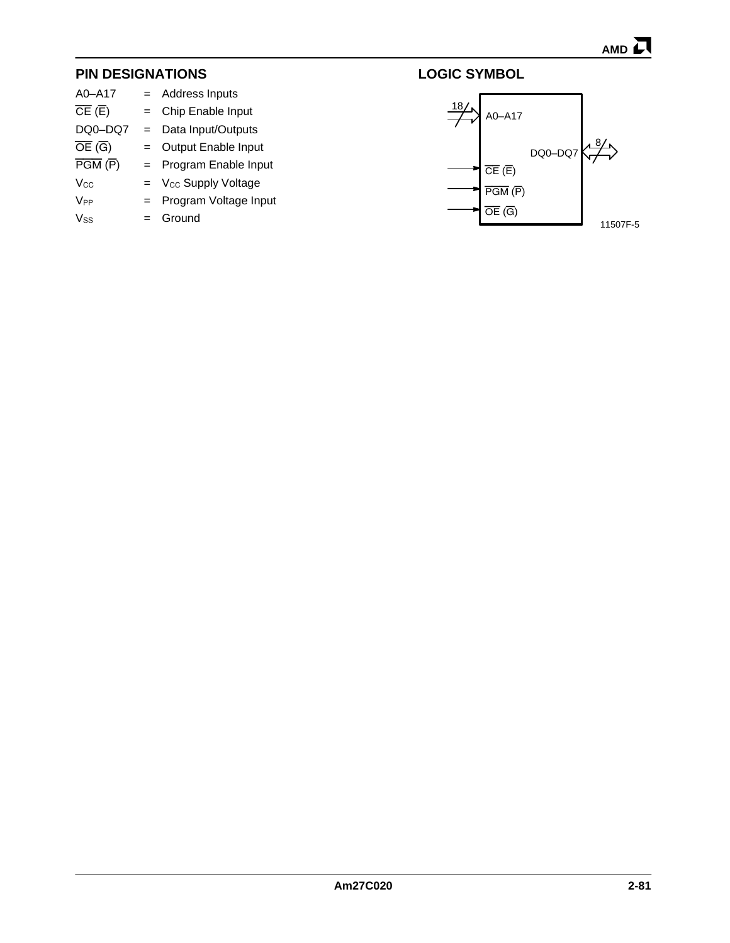# **PIN DESIGNATIONS**

|         | = Address Inputs               |
|---------|--------------------------------|
| $=$     | Chip Enable Input              |
| $=$     | Data Input/Outputs             |
| $=$     | Output Enable Input            |
| $=$ $-$ | Program Enable Input           |
| $=$ $-$ | V <sub>cc</sub> Supply Voltage |
| $=$ $-$ | Program Voltage Input          |
|         | Ground                         |
|         |                                |



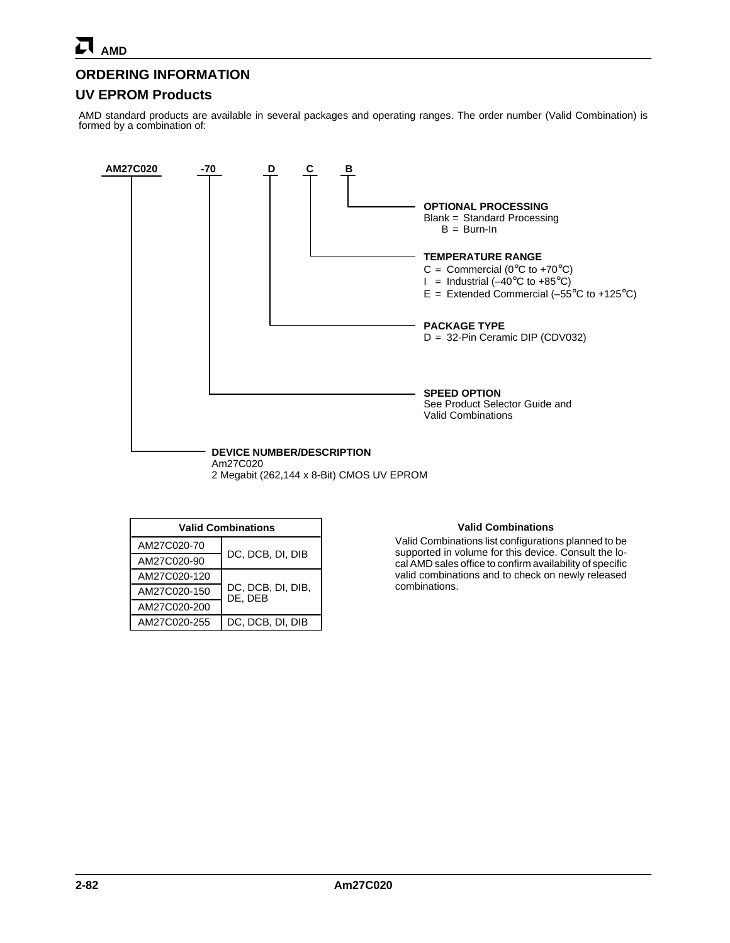## **ORDERING INFORMATION**

## **UV EPROM Products**

AMD standard products are available in several packages and operating ranges. The order number (Valid Combination) is formed by a combination of:



| <b>Valid Combinations</b> |                              |  |  |  |  |  |  |
|---------------------------|------------------------------|--|--|--|--|--|--|
| AM27C020-70               | DC, DCB, DI, DIB             |  |  |  |  |  |  |
| AM27C020-90               |                              |  |  |  |  |  |  |
| AM27C020-120              |                              |  |  |  |  |  |  |
| AM27C020-150              | DC, DCB, DI, DIB,<br>DE. DEB |  |  |  |  |  |  |
| AM27C020-200              |                              |  |  |  |  |  |  |
| AM27C020-255              | DC, DCB, DI, DIB             |  |  |  |  |  |  |

#### **Valid Combinations**

Valid Combinations list configurations planned to be supported in volume for this device. Consult the local AMD sales office to confirm availability of specific valid combinations and to check on newly released combinations.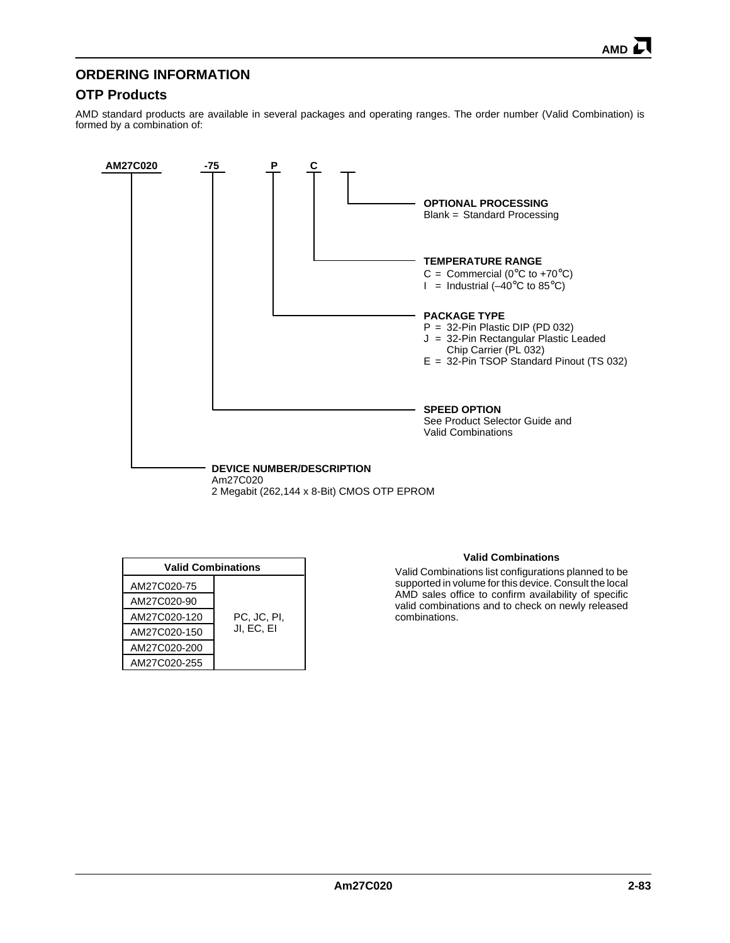## **ORDERING INFORMATION**

## **OTP Products**

AMD standard products are available in several packages and operating ranges. The order number (Valid Combination) is formed by a combination of:



| <b>Valid Combinations</b> |             |  |  |  |  |  |  |
|---------------------------|-------------|--|--|--|--|--|--|
| AM27C020-75               |             |  |  |  |  |  |  |
| AM27C020-90               |             |  |  |  |  |  |  |
| AM27C020-120              | PC, JC, PI, |  |  |  |  |  |  |
| AM27C020-150              | JI, EC, EI  |  |  |  |  |  |  |
| AM27C020-200              |             |  |  |  |  |  |  |
| AM27C020-255              |             |  |  |  |  |  |  |

#### **Valid Combinations**

Valid Combinations list configurations planned to be supported in volume for this device. Consult the local AMD sales office to confirm availability of specific valid combinations and to check on newly released combinations.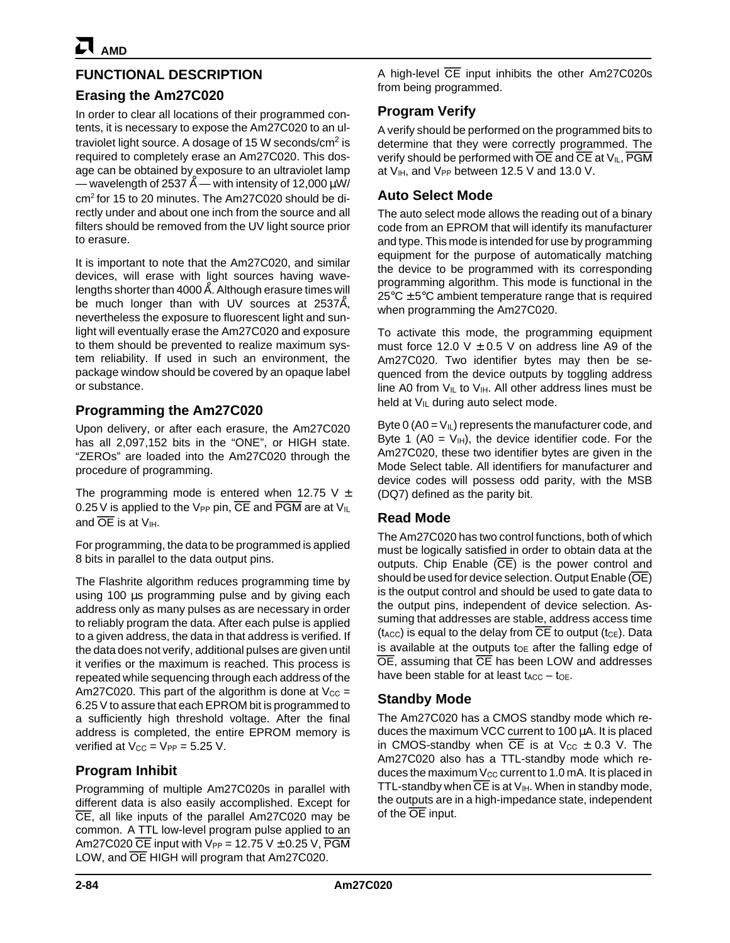# **FUNCTIONAL DESCRIPTION**

## **Erasing the Am27C020**

In order to clear all locations of their programmed contents, it is necessary to expose the Am27C020 to an ultraviolet light source. A dosage of 15 W seconds/ $\text{cm}^2$  is required to completely erase an Am27C020. This dosage can be obtained by exposure to an ultraviolet lamp — wavelength of 2537  $\rm \AA$  — with intensity of 12,000  $\rm \mu W/$ cm2 for 15 to 20 minutes. The Am27C020 should be directly under and about one inch from the source and all filters should be removed from the UV light source prior to erasure.

It is important to note that the Am27C020, and similar devices, will erase with light sources having wavelengths shorter than 4000 Å. Although erasure times will be much longer than with UV sources at 2537Å, nevertheless the exposure to fluorescent light and sunlight will eventually erase the Am27C020 and exposure to them should be prevented to realize maximum system reliability. If used in such an environment, the package window should be covered by an opaque label or substance.

## **Programming the Am27C020**

Upon delivery, or after each erasure, the Am27C020 has all 2,097,152 bits in the "ONE", or HIGH state. "ZEROs" are loaded into the Am27C020 through the procedure of programming.

The programming mode is entered when 12.75 V  $\pm$ 0.25 V is applied to the V<sub>PP</sub> pin,  $\overline{CE}$  and  $\overline{PGM}$  are at V<sub>IL</sub> and  $\overline{OE}$  is at  $V_{\text{H}}$ .

For programming, the data to be programmed is applied 8 bits in parallel to the data output pins.

The Flashrite algorithm reduces programming time by using 100 µs programming pulse and by giving each address only as many pulses as are necessary in order to reliably program the data. After each pulse is applied to a given address, the data in that address is verified. If the data does not verify, additional pulses are given until it verifies or the maximum is reached. This process is repeated while sequencing through each address of the Am27C020. This part of the algorithm is done at  $V_{\text{CC}} =$ 6.25 V to assure that each EPROM bit is programmed to a sufficiently high threshold voltage. After the final address is completed, the entire EPROM memory is verified at  $V_{CC} = V_{PP} = 5.25 V$ .

## **Program Inhibit**

Programming of multiple Am27C020s in parallel with different data is also easily accomplished. Except for CE, all like inputs of the parallel Am27C020 may be common. A TTL low-level program pulse applied to an Am27C020  $\overline{CE}$  input with  $V_{PP} = 12.75$  V  $\pm$  0.25 V,  $\overline{PGM}$ LOW, and OE HIGH will program that Am27C020.

A high-level CE input inhibits the other Am27C020s from being programmed.

# **Program Verify**

A verify should be performed on the programmed bits to determine that they were correctly programmed. The verify should be performed with  $\overline{OE}$  and  $\overline{CE}$  at  $V_{IL}$ ,  $\overline{PGM}$ at  $V_{IH}$ , and  $V_{PP}$  between 12.5 V and 13.0 V.

# **Auto Select Mode**

The auto select mode allows the reading out of a binary code from an EPROM that will identify its manufacturer and type. This mode is intended for use by programming equipment for the purpose of automatically matching the device to be programmed with its corresponding programming algorithm. This mode is functional in the  $25^{\circ}$ C  $\pm$  5°C ambient temperature range that is required when programming the Am27C020.

To activate this mode, the programming equipment must force 12.0 V  $\pm$  0.5 V on address line A9 of the Am27C020. Two identifier bytes may then be sequenced from the device outputs by toggling address line A0 from  $V_{IL}$  to  $V_{IH}$ . All other address lines must be held at  $V_{IL}$  during auto select mode.

Byte 0 (A0 =  $V_{IL}$ ) represents the manufacturer code, and Byte 1 (A0 =  $V_{\text{H}}$ ), the device identifier code. For the Am27C020, these two identifier bytes are given in the Mode Select table. All identifiers for manufacturer and device codes will possess odd parity, with the MSB (DQ7) defined as the parity bit.

## **Read Mode**

The Am27C020 has two control functions, both of which must be logically satisfied in order to obtain data at the outputs. Chip Enable  $(\overline{CE})$  is the power control and should be used for device selection. Output Enable (OE) is the output control and should be used to gate data to the output pins, independent of device selection. Assuming that addresses are stable, address access time  $(t_{\text{ACC}})$  is equal to the delay from  $\overline{\text{CE}}$  to output  $(t_{\text{CE}})$ . Data is available at the outputs to after the falling edge of OE, assuming that CE has been LOW and addresses have been stable for at least  $t_{ACC} - t_{OE}$ .

## **Standby Mode**

The Am27C020 has a CMOS standby mode which reduces the maximum VCC current to 100 µA. It is placed in CMOS-standby when  $\overline{CE}$  is at  $V_{CC} \pm 0.3$  V. The Am27C020 also has a TTL-standby mode which reduces the maximum  $V_{CC}$  current to 1.0 mA. It is placed in TTL-standby when  $\overline{CE}$  is at  $V_{\text{IH}}$ . When in standby mode, the outputs are in a high-impedance state, independent of the OE input.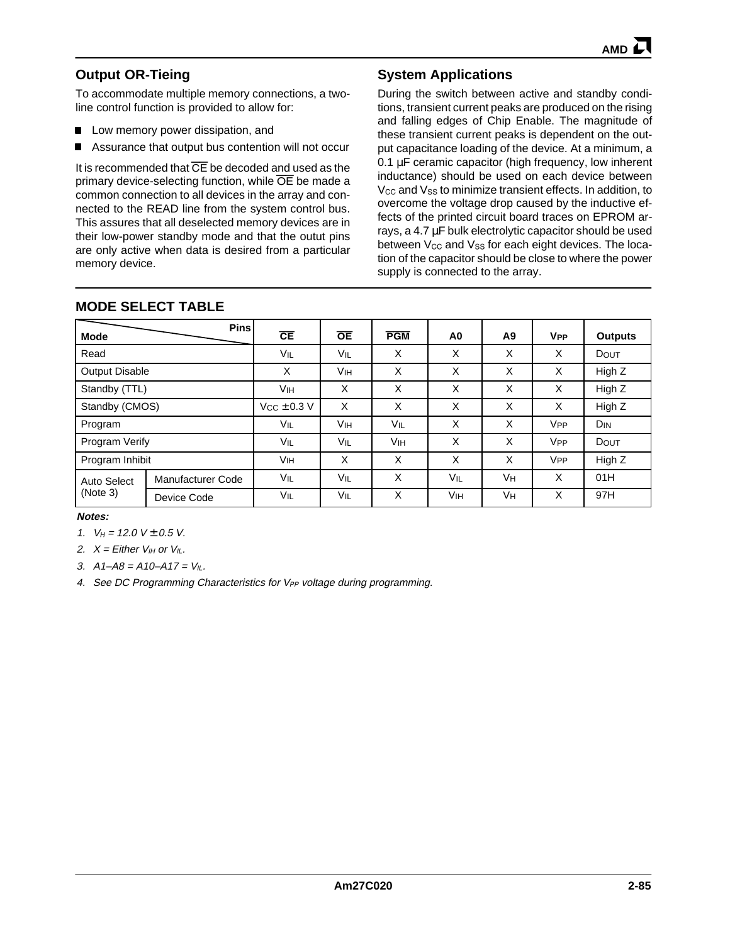## **Output OR-Tieing**

To accommodate multiple memory connections, a twoline control function is provided to allow for:

- **Low memory power dissipation, and**
- Assurance that output bus contention will not occur

It is recommended that  $\overline{CE}$  be decoded and used as the primary device-selecting function, while OE be made a common connection to all devices in the array and connected to the READ line from the system control bus. This assures that all deselected memory devices are in their low-power standby mode and that the outut pins are only active when data is desired from a particular memory device.

## **System Applications**

During the switch between active and standby conditions, transient current peaks are produced on the rising and falling edges of Chip Enable. The magnitude of these transient current peaks is dependent on the output capacitance loading of the device. At a minimum, a 0.1 µF ceramic capacitor (high frequency, low inherent inductance) should be used on each device between V<sub>CC</sub> and V<sub>SS</sub> to minimize transient effects. In addition, to overcome the voltage drop caused by the inductive effects of the printed circuit board traces on EPROM arrays, a 4.7 µF bulk electrolytic capacitor should be used between  $V_{CC}$  and  $V_{SS}$  for each eight devices. The location of the capacitor should be close to where the power supply is connected to the array.

| <b>Mode</b>             | <b>Pins</b>       | CE                    | <b>OE</b>             | <b>PGM</b>            | A0     | A9 | <b>V<sub>PP</sub></b>         | <b>Outputs</b> |
|-------------------------|-------------------|-----------------------|-----------------------|-----------------------|--------|----|-------------------------------|----------------|
| Read                    |                   | VIL                   | Vil                   | X                     | X      | X  | X                             | <b>DOUT</b>    |
| <b>Output Disable</b>   |                   | X                     | Vін                   | X                     | X      | X  | X                             | High Z         |
| Standby (TTL)           |                   | <b>V<sub>IH</sub></b> | X                     | X                     | X<br>X |    | X                             | High Z         |
| Standby (CMOS)          |                   | $Vcc \pm 0.3 V$       | X                     | X                     | X      | X  | X<br>High Z                   |                |
| Program                 |                   | VIL                   | <b>V<sub>IH</sub></b> | VIL                   | X      | X  | <b>V<sub>PP</sub></b>         | DIN            |
| Program Verify          |                   | VIL                   | VIL                   | <b>V<sub>IH</sub></b> | X      | X  | <b>V<sub>PP</sub></b><br>DOUT |                |
| Program Inhibit         |                   | <b>V<sub>IH</sub></b> | X                     | X                     | X      | X  | <b>V<sub>PP</sub></b>         | High Z         |
| Auto Select<br>(Note 3) | Manufacturer Code | VIL                   | VIL                   | X                     | VIL    | Vн | X                             | 01H            |
|                         | Device Code       | VIL                   | VIL                   | X                     | Vін    | Vн | X                             | 97H            |

## **MODE SELECT TABLE**

#### **Notes:**

1.  $V_H = 12.0$  V ± 0.5 V.

2.  $X =$  Either  $V_{IH}$  or  $V_{IL}$ .

3.  $A1 - A8 = A10 - A17 = V_{II}$ .

4. See DC Programming Characteristics for V<sub>PP</sub> voltage during programming.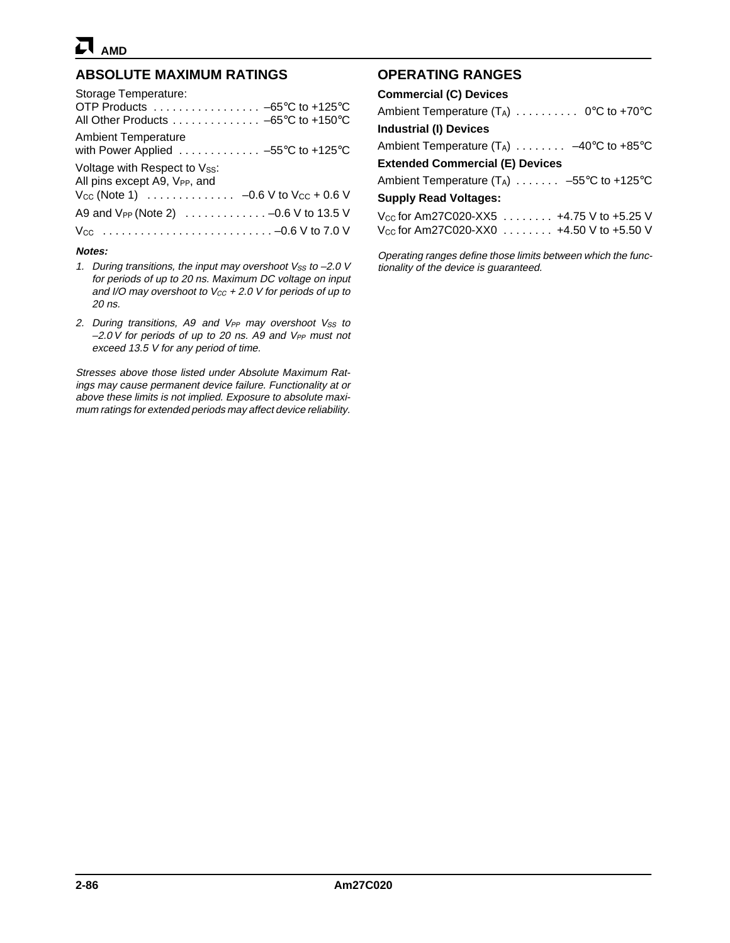## **ABSOLUTE MAXIMUM RATINGS**

| Notes:                                                                                                                                                  |
|---------------------------------------------------------------------------------------------------------------------------------------------------------|
|                                                                                                                                                         |
| A9 and $V_{PP}$ (Note 2) $\ldots \ldots \ldots \ldots -0.6$ V to 13.5 V                                                                                 |
| Voltage with Respect to Vss:<br>All pins except A9, V <sub>PP</sub> , and<br>$V_{CC}$ (Note 1) $\ldots \ldots \ldots \ldots -0.6$ V to $V_{CC}$ + 0.6 V |
| <b>Ambient Temperature</b><br>with Power Applied $\ldots \ldots \ldots \ldots -55^{\circ}C$ to +125°C                                                   |
| Storage Temperature:<br>OTP Products $\ldots \ldots \ldots \ldots \ldots -65^{\circ}C$ to +125°C<br>All Other Products -65°C to +150°C                  |
|                                                                                                                                                         |

- 1. During transitions, the input may overshoot  $V_{SS}$  to  $-2.0$  V for periods of up to 20 ns. Maximum DC voltage on input and I/O may overshoot to  $V_{CC}$  + 2.0 V for periods of up to 20 ns.
- 2. During transitions, A9 and  $V_{PP}$  may overshoot  $V_{SS}$  to  $-2.0$  V for periods of up to 20 ns. A9 and V<sub>PP</sub> must not exceed 13.5 V for any period of time.

Stresses above those listed under Absolute Maximum Ratings may cause permanent device failure. Functionality at or above these limits is not implied. Exposure to absolute maximum ratings for extended periods may affect device reliability.

## **OPERATING RANGES**

| <b>Commercial (C) Devices</b>                        |
|------------------------------------------------------|
| Ambient Temperature $(T_A)$ 0°C to +70°C             |
| <b>Industrial (I) Devices</b>                        |
| Ambient Temperature $(T_A)$ $-40^{\circ}$ C to +85°C |
| <b>Extended Commercial (E) Devices</b>               |
| Ambient Temperature $(T_A)$ -55°C to +125°C          |
| <b>Supply Read Voltages:</b>                         |
| $V_{\rm CC}$ for Am27C020-XX5  +4.75 V to +5.25 V    |
| V <sub>cc</sub> for Am27C020-XX0 4.50 V to +5.50 V   |
|                                                      |

Operating ranges define those limits between which the functionality of the device is guaranteed.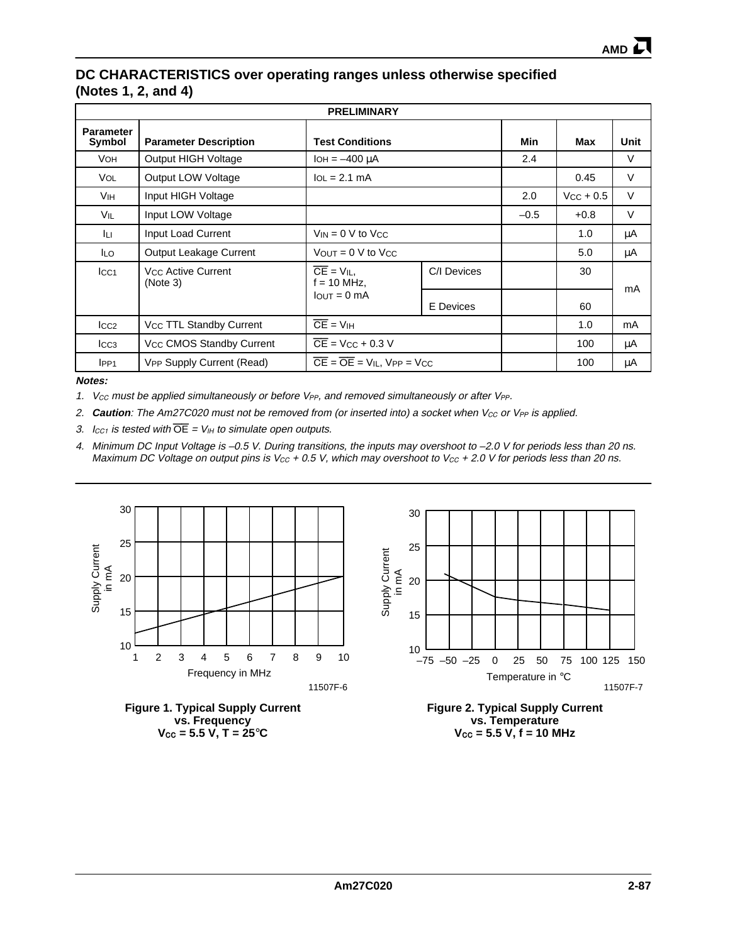## **DC CHARACTERISTICS over operating ranges unless otherwise specified (Notes 1, 2, and 4)**

| <b>PRELIMINARY</b>         |                                            |                                                        |             |        |                |      |  |  |  |  |
|----------------------------|--------------------------------------------|--------------------------------------------------------|-------------|--------|----------------|------|--|--|--|--|
| <b>Parameter</b><br>Symbol | <b>Parameter Description</b>               | <b>Test Conditions</b>                                 |             | Min    | Max            | Unit |  |  |  |  |
| <b>VOH</b>                 | Output HIGH Voltage                        | $I_{OH} = -400 \mu A$                                  |             | 2.4    |                | V    |  |  |  |  |
| Vol.                       | Output LOW Voltage                         | $IoL = 2.1 mA$                                         |             |        | 0.45           | V    |  |  |  |  |
| <b>V<sub>IH</sub></b>      | Input HIGH Voltage                         |                                                        |             | 2.0    | $V_{CC}$ + 0.5 | V    |  |  |  |  |
| Vil                        | Input LOW Voltage                          |                                                        |             | $-0.5$ | $+0.8$         | V    |  |  |  |  |
| Iц                         | Input Load Current                         | $V_{IN} = 0$ V to Vcc                                  |             | 1.0    | μA             |      |  |  |  |  |
| ILO.                       | Output Leakage Current                     | $V_{\text{OUT}} = 0$ V to $V_{\text{CC}}$              |             | 5.0    | μA             |      |  |  |  |  |
| $ _{CC1}$                  | V <sub>CC</sub> Active Current<br>(Note 3) | $\overline{CE}$ = $V_{IL}$ ,<br>$f = 10$ MHz,          | C/I Devices |        | 30             | mA   |  |  |  |  |
|                            | $I$ OUT = 0 mA                             |                                                        | E Devices   |        | 60             |      |  |  |  |  |
| $_{\text{ICC2}}$           | V <sub>CC</sub> TTL Standby Current        | $\overline{CE} = V_{IH}$                               |             | 1.0    | mA             |      |  |  |  |  |
| $_{\text{LCG}}$            | V <sub>CC</sub> CMOS Standby Current       | $\overline{CE}$ = V <sub>CC</sub> + 0.3 V              |             | 100    | μA             |      |  |  |  |  |
| IPP <sub>1</sub>           | VPP Supply Current (Read)                  | $\overline{CE} = \overline{OE} = V_{IL}$ , $VPP = VCC$ |             |        | 100            | μA   |  |  |  |  |

**Notes:**

1. V<sub>CC</sub> must be applied simultaneously or before V<sub>PP</sub>, and removed simultaneously or after V<sub>PP</sub>.

2. **Caution**: The Am27C020 must not be removed from (or inserted into) a socket when  $V_{CC}$  or  $V_{PP}$  is applied.

3.  $I_{CC1}$  is tested with  $\overline{OE} = V_{IH}$  to simulate open outputs.

4. Minimum DC Input Voltage is –0.5 V. During transitions, the inputs may overshoot to –2.0 V for periods less than 20 ns. Maximum DC Voltage on output pins is  $V_{CC} + 0.5 V$ , which may overshoot to  $V_{CC} + 2.0 V$  for periods less than 20 ns.







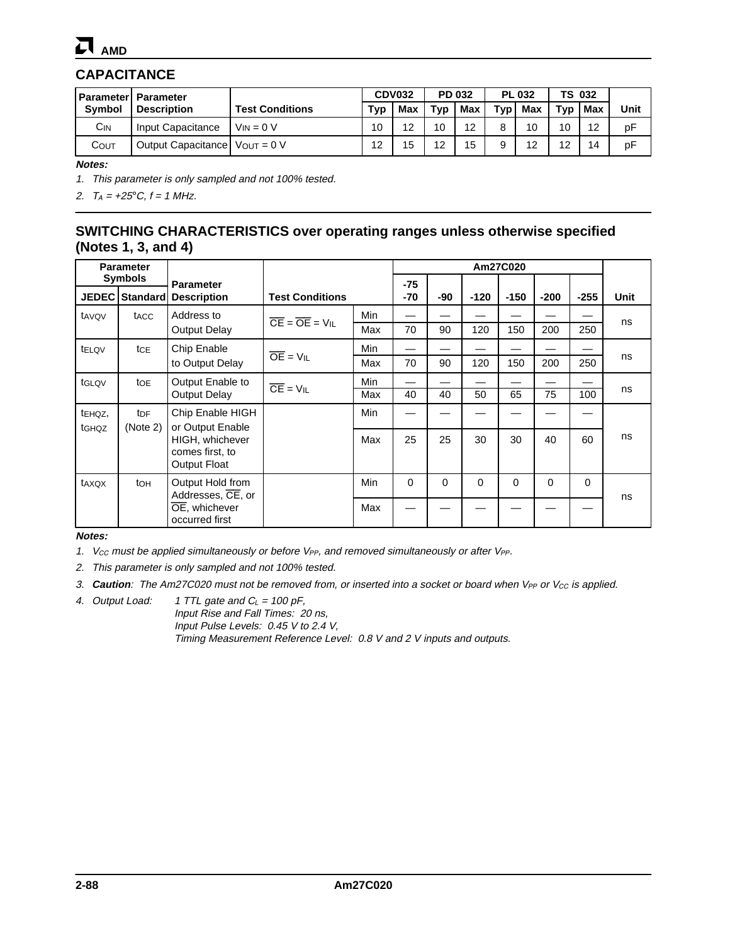# **CAPACITANCE**

| <b>Parameter</b> | <b>Parameter</b>                     |                        |     | <b>CDV032</b> | PD 032 |     |     |     | <b>PL 032</b> |     | <b>TS 032</b> |  |  |
|------------------|--------------------------------------|------------------------|-----|---------------|--------|-----|-----|-----|---------------|-----|---------------|--|--|
| <b>Symbol</b>    | <b>Description</b>                   | <b>Test Conditions</b> | Tvp | <b>Max</b>    | Tvp    | Max | Tvp | Max | Typ           | Max | Unit          |  |  |
| $C_{IN}$         | Input Capacitance                    | $V_{IN} = 0 V$         | 10  | 12            | 10     | 12  | 8   | 10  | 10            | 12  | рF            |  |  |
| Соит             | Output Capacitance   $V_{OUT} = 0 V$ |                        | 12  | 15            | 12     | 15  |     | 12  | 12            | 14  | рF            |  |  |

**Notes:**

1. This parameter is only sampled and not 100% tested.

2.  $T_A = +25^{\circ}C, f = 1$  MHz.

## **SWITCHING CHARACTERISTICS over operating ranges unless otherwise specified (Notes 1, 3, and 4)**

| <b>Parameter</b>  |                         |                                       |                                                 |     |          |          |        | Am27C020 |          |          |      |
|-------------------|-------------------------|---------------------------------------|-------------------------------------------------|-----|----------|----------|--------|----------|----------|----------|------|
|                   | <b>Symbols</b>          | <b>Parameter</b>                      |                                                 |     | $-75$    |          |        |          |          |          |      |
|                   | JEDEC   Standard        | <b>Description</b>                    | <b>Test Conditions</b>                          |     | $-70$    | -90      | $-120$ | $-150$   | $-200$   | $-255$   | Unit |
| tavov             | tacc                    | Address to                            | $\overline{CE} = \overline{OE} = \overline{VI}$ | Min |          |          |        |          |          |          | ns   |
|                   |                         | <b>Output Delay</b>                   |                                                 | Max | 70       | 90       | 120    | 150      | 200      | 250      |      |
| tELQV             | tcE                     | Chip Enable                           |                                                 | Min |          |          |        |          |          |          |      |
|                   |                         | to Output Delay                       | $\overline{OE}$ = $VIL$                         | Max | 70       | 90       | 120    | 150      | 200      | 250      | ns   |
| tGLQV             | toe                     | Output Enable to                      | $\overline{CE} = VIL$                           | Min |          |          |        |          |          |          | ns   |
|                   |                         | <b>Output Delay</b>                   |                                                 | Max | 40       | 40       | 50     | 65       | 75       | 100      |      |
| tehQZ,            | <b>t</b> DF<br>(Note 2) | Chip Enable HIGH<br>or Output Enable  |                                                 | Min |          |          |        |          |          |          |      |
| t <sub>GHQZ</sub> |                         | HIGH, whichever                       |                                                 | Max | 25       | 25       | 30     | 30       | 40       | 60       | ns   |
|                   |                         | comes first, to<br>Output Float       |                                                 |     |          |          |        |          |          |          |      |
| taxox             | toh                     | Output Hold from<br>Addresses, CE, or |                                                 | Min | $\Omega$ | $\Omega$ | 0      | 0        | $\Omega$ | $\Omega$ | ns   |
|                   |                         | OE, whichever<br>occurred first       |                                                 | Max |          |          |        |          |          |          |      |

**Notes:**

1. V<sub>CC</sub> must be applied simultaneously or before  $V_{PP}$ , and removed simultaneously or after  $V_{PP}$ .

2. This parameter is only sampled and not 100% tested.

- 3. **Caution**: The Am27C020 must not be removed from, or inserted into a socket or board when V<sub>PP</sub> or V<sub>CC</sub> is applied.
- 4. Output Load: 1 TTL gate and  $C_L = 100 \text{ pF}$ , Input Rise and Fall Times: 20 ns, Input Pulse Levels: 0.45 V to 2.4 V, Timing Measurement Reference Level: 0.8 V and 2 V inputs and outputs.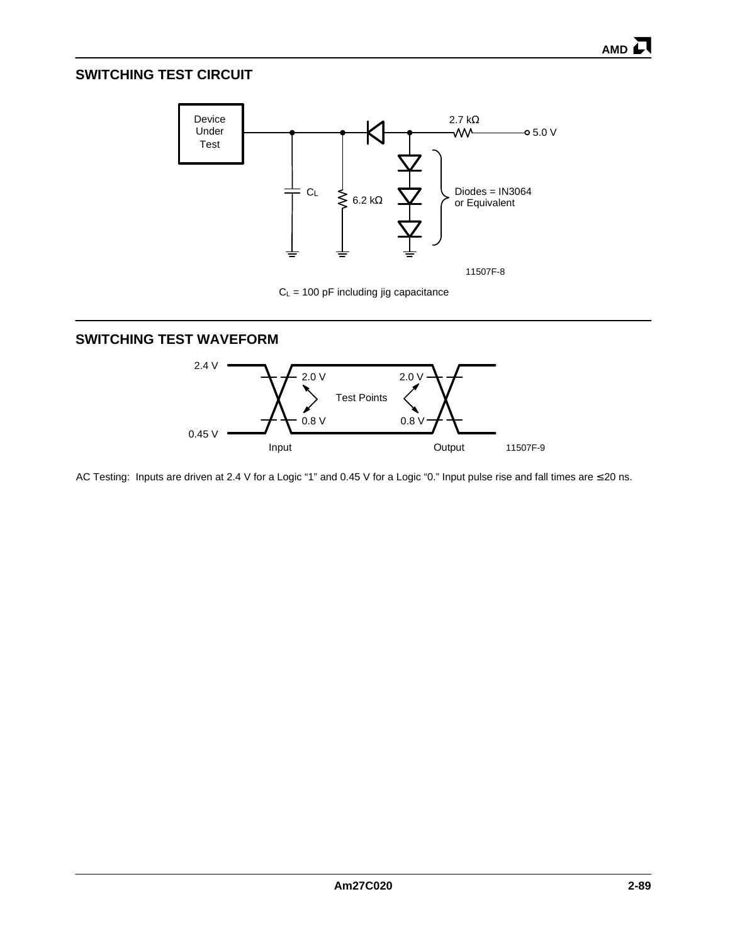## **SWITCHING TEST CIRCUIT**



 $C_L$  = 100 pF including jig capacitance

## **SWITCHING TEST WAVEFORM**



AC Testing: Inputs are driven at 2.4 V for a Logic "1" and 0.45 V for a Logic "0." Input pulse rise and fall times are ≤ 20 ns.